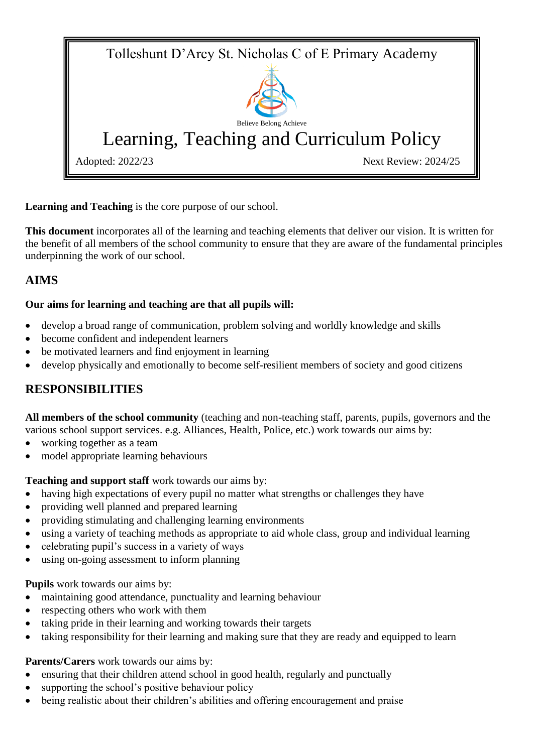Tolleshunt D'Arcy St. Nicholas C of E Primary Academy Believe Belong Achieve Learning, Teaching and Curriculum Policy Adopted: 2022/23 Next Review: 2024/25

**Learning and Teaching** is the core purpose of our school.

**This document** incorporates all of the learning and teaching elements that deliver our vision. It is written for the benefit of all members of the school community to ensure that they are aware of the fundamental principles underpinning the work of our school.

# **AIMS**

## **Our aims for learning and teaching are that all pupils will:**

- develop a broad range of communication, problem solving and worldly knowledge and skills
- become confident and independent learners
- be motivated learners and find enjoyment in learning
- develop physically and emotionally to become self-resilient members of society and good citizens

## **RESPONSIBILITIES**

**All members of the school community** (teaching and non-teaching staff, parents, pupils, governors and the various school support services. e.g. Alliances, Health, Police, etc.) work towards our aims by:

- working together as a team
- model appropriate learning behaviours

## **Teaching and support staff** work towards our aims by:

- having high expectations of every pupil no matter what strengths or challenges they have
- providing well planned and prepared learning
- providing stimulating and challenging learning environments
- using a variety of teaching methods as appropriate to aid whole class, group and individual learning
- celebrating pupil's success in a variety of ways
- using on-going assessment to inform planning

## **Pupils** work towards our aims by:

- maintaining good attendance, punctuality and learning behaviour
- respecting others who work with them
- taking pride in their learning and working towards their targets
- taking responsibility for their learning and making sure that they are ready and equipped to learn

## **Parents/Carers** work towards our aims by:

- ensuring that their children attend school in good health, regularly and punctually
- supporting the school's positive behaviour policy
- being realistic about their children's abilities and offering encouragement and praise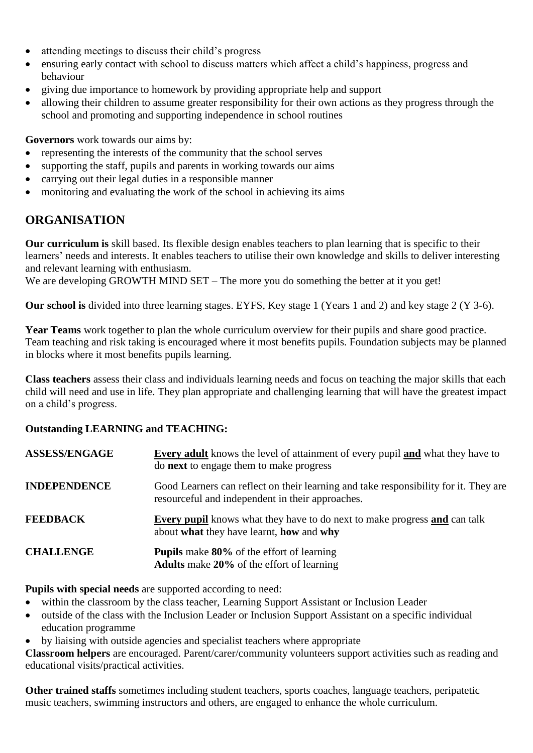- attending meetings to discuss their child's progress
- ensuring early contact with school to discuss matters which affect a child's happiness, progress and behaviour
- giving due importance to homework by providing appropriate help and support
- allowing their children to assume greater responsibility for their own actions as they progress through the school and promoting and supporting independence in school routines

**Governors** work towards our aims by:

- representing the interests of the community that the school serves
- supporting the staff, pupils and parents in working towards our aims
- carrying out their legal duties in a responsible manner
- monitoring and evaluating the work of the school in achieving its aims

## **ORGANISATION**

**Our curriculum is** skill based. Its flexible design enables teachers to plan learning that is specific to their learners' needs and interests. It enables teachers to utilise their own knowledge and skills to deliver interesting and relevant learning with enthusiasm.

We are developing GROWTH MIND SET – The more you do something the better at it you get!

**Our school is** divided into three learning stages. EYFS, Key stage 1 (Years 1 and 2) and key stage 2 (Y 3-6).

**Year Teams** work together to plan the whole curriculum overview for their pupils and share good practice. Team teaching and risk taking is encouraged where it most benefits pupils. Foundation subjects may be planned in blocks where it most benefits pupils learning.

**Class teachers** assess their class and individuals learning needs and focus on teaching the major skills that each child will need and use in life. They plan appropriate and challenging learning that will have the greatest impact on a child's progress.

#### **Outstanding LEARNING and TEACHING:**

| <b>ASSESS/ENGAGE</b> | <b>Every adult</b> knows the level of attainment of every pupil <b>and</b> what they have to<br>do next to engage them to make progress  |
|----------------------|------------------------------------------------------------------------------------------------------------------------------------------|
| <b>INDEPENDENCE</b>  | Good Learners can reflect on their learning and take responsibility for it. They are<br>resourceful and independent in their approaches. |
| <b>FEEDBACK</b>      | <b>Every pupil</b> knows what they have to do next to make progress and can talk<br>about what they have learnt, how and why             |
| <b>CHALLENGE</b>     | <b>Pupils</b> make 80% of the effort of learning<br><b>Adults</b> make 20% of the effort of learning                                     |

**Pupils with special needs** are supported according to need:

- within the classroom by the class teacher, Learning Support Assistant or Inclusion Leader
- outside of the class with the Inclusion Leader or Inclusion Support Assistant on a specific individual education programme
- by liaising with outside agencies and specialist teachers where appropriate

**Classroom helpers** are encouraged. Parent/carer/community volunteers support activities such as reading and educational visits/practical activities.

**Other trained staffs** sometimes including student teachers, sports coaches, language teachers, peripatetic music teachers, swimming instructors and others, are engaged to enhance the whole curriculum.